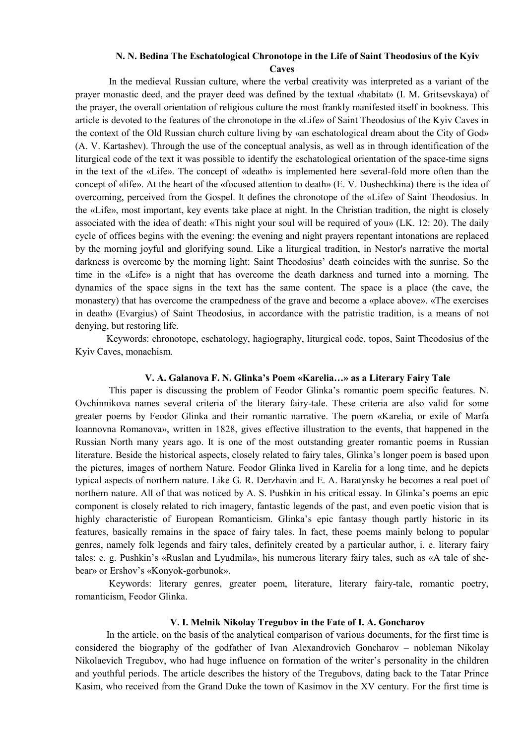# **N. N. Bedina The Esсhatological Chronotope in the Life of Saint Theodosius of the Kyiv**

**Caves** 

 In the medieval Russian culture, where the verbal creativity was interpreted as a variant of the prayer monastic deed, and the prayer deed was defined by the textual «habitat» (I. M. Gritsevskaya) of the prayer, the overall orientation of religious culture the most frankly manifested itself in bookness. This article is devoted to the features of the chronotope in the «Life» of Saint Theodosius of the Kyiv Caves in the context of the Old Russian church culture living by «an eschatological dream about the City of God» (A. V. Kartashev). Through the use of the conceptual analysis, as well as in through identification of the liturgical code of the text it was possible to identify the eschatological orientation of the space-time signs in the text of the «Life». The concept of «death» is implemented here several-fold more often than the concept of «life». At the heart of the «focused attention to death» (E. V. Dushechkina) there is the idea of overcoming, perceived from the Gospel. It defines the chronotope of the «Life» of Saint Theodosius. In the «Life», most important, key events take place at night. In the Christian tradition, the night is closely associated with the idea of death: «This night your soul will be required of you» (LK. 12: 20). The daily cycle of offices begins with the evening: the evening and night prayers repentant intonations are replaced by the morning joyful and glorifying sound. Like a liturgical tradition, in Nestor's narrative the mortal darkness is overcome by the morning light: Saint Theodosius' death coincides with the sunrise. So the time in the «Life» is a night that has overcome the death darkness and turned into a morning. The dynamics of the space signs in the text has the same content. The space is a place (the cave, the monastery) that has overcome the crampedness of the grave and become a «place above». «The exercises in death» (Evargius) of Saint Theodosius, in accordance with the patristic tradition, is a means of not denying, but restoring life.

Keywords: chronotope, eschatology, hagiography, liturgical code, topos, Saint Theodosius of the Kyiv Caves, monachism.

### **V. A. Galanova F. N. Glinka's Poem «Karelia…» as a Literary Fairy Tale**

 This paper is discussing the problem of Feodor Glinka's romantic poem specific features. N. Ovchinnikova names several criteria of the literary fairy-tale. These criteria are also valid for some greater poems by Feodor Glinka and their romantic narrative. The poem «Karelia, or exile of Marfa Ioannovna Romanova», written in 1828, gives effective illustration to the events, that happened in the Russian North many years ago. It is one of the most outstanding greater romantic poems in Russian literature. Beside the historical aspects, closely related to fairy tales, Glinka's longer poem is based upon the pictures, images of northern Nature. Feodor Glinka lived in Karelia for a long time, and he depicts typical aspects of northern nature. Like G. R. Derzhavin and E. A. Baratynsky he becomes a real poet of northern nature. All of that was noticed by A. S. Pushkin in his critical essay. In Glinka's poems an epic component is closely related to rich imagery, fantastic legends of the past, and even poetic vision that is highly characteristic of European Romanticism. Glinka's epic fantasy though partly historic in its features, basically remains in the space of fairy tales. In fact, these poems mainly belong to popular genres, namely folk legends and fairy tales, definitely created by a particular author, i. e. literary fairy tales: e. g. Pushkin's «Ruslan and Lyudmila», his numerous literary fairy tales, such as «A tale of shebear» or Ershov's «Konyok-gorbunok».

 Keywords: literary genres, greater poem, literature, literary fairy-tale, romantic poetry, romanticism, Feodor Glinka.

#### **V. I. Melnik Nikolay Tregubov in the Fate of I. A. Goncharov**

In the article, on the basis of the analytical comparison of various documents, for the first time is considered the biography of the godfather of Ivan Alexandrovich Goncharov – nobleman Nikolay Nikolaevich Tregubov, who had huge influence on formation of the writer's personality in the children and youthful periods. The article describes the history of the Tregubovs, dating back to the Tatar Prince Kasim, who received from the Grand Duke the town of Kasimov in the XV century. For the first time is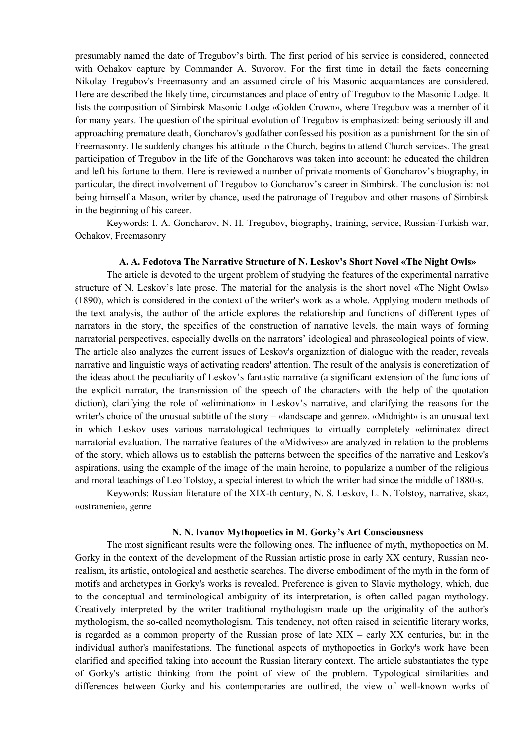presumably named the date of Tregubov's birth. The first period of his service is considered, connected with Ochakov capture by Commander A. Suvorov. For the first time in detail the facts concerning Nikolay Tregubov's Freemasonry and an assumed circle of his Masonic acquaintances are considered. Here are described the likely time, circumstances and place of entry of Tregubov to the Masonic Lodge. It lists the composition of Simbirsk Masonic Lodge «Golden Crown», where Tregubov was a member of it for many years. The question of the spiritual evolution of Tregubov is emphasized: being seriously ill and approaching premature death, Goncharov's godfather confessed his position as a punishment for the sin of Freemasonry. He suddenly changes his attitude to the Church, begins to attend Church services. The great participation of Tregubov in the life of the Goncharovs was taken into account: he educated the children and left his fortune to them. Here is reviewed a number of private moments of Goncharov's biography, in particular, the direct involvement of Tregubov to Goncharov's career in Simbirsk. The conclusion is: not being himself a Mason, writer by chance, used the patronage of Tregubov and other masons of Simbirsk in the beginning of his career.

Keywords: I. A. Goncharov, N. H. Tregubov, biography, training, service, Russian-Turkish war, Ochakov, Freemasonry

### **A. A. Fedotova The Narrative Structure of N. Leskov's Short Novel «The Night Owls»**

The article is devoted to the urgent problem of studying the features of the experimental narrative structure of N. Leskov's late prose. The material for the analysis is the short novel «The Night Owls» (1890), which is considered in the context of the writer's work as a whole. Applying modern methods of the text analysis, the author of the article explores the relationship and functions of different types of narrators in the story, the specifics of the construction of narrative levels, the main ways of forming narratorial perspectives, especially dwells on the narrators' ideological and phraseological points of view. The article also analyzes the current issues of Leskov's organization of dialogue with the reader, reveals narrative and linguistic ways of activating readers' attention. The result of the analysis is concretization of the ideas about the peculiarity of Leskov's fantastic narrative (a significant extension of the functions of the explicit narrator, the transmission of the speech of the characters with the help of the quotation diction), clarifying the role of «elimination» in Leskov's narrative, and clarifying the reasons for the writer's choice of the unusual subtitle of the story – «landscape and genre». «Midnight» is an unusual text in which Leskov uses various narratological techniques to virtually completely «eliminate» direct narratorial evaluation. The narrative features of the «Midwives» are analyzed in relation to the problems of the story, which allows us to establish the patterns between the specifics of the narrative and Leskov's aspirations, using the example of the image of the main heroine, to popularize a number of the religious and moral teachings of Leo Tolstoy, a special interest to which the writer had since the middle of 1880-s.

Keywords: Russian literature of the XIX-th century, N. S. Leskov, L. N. Tolstoy, narrative, skaz, «ostranenie», genre

#### **N. N. Ivanov Mythopoetics in M. Gorky's Art Consciousness**

The most significant results were the following ones. The influence of myth, mythopoetics on M. Gorky in the context of the development of the Russian artistic prose in early XX century, Russian neorealism, its artistic, ontological and aesthetic searches. The diverse embodiment of the myth in the form of motifs and archetypes in Gorky's works is revealed. Preference is given to Slavic mythology, which, due to the conceptual and terminological ambiguity of its interpretation, is often called pagan mythology. Creatively interpreted by the writer traditional mythologism made up the originality of the author's mythologism, the so-called neomythologism. This tendency, not often raised in scientific literary works, is regarded as a common property of the Russian prose of late XIX – early XX centuries, but in the individual author's manifestations. The functional aspects of mythopoetics in Gorky's work have been clarified and specified taking into account the Russian literary context. The article substantiates the type of Gorky's artistic thinking from the point of view of the problem. Typological similarities and differences between Gorky and his contemporaries are outlined, the view of well-known works of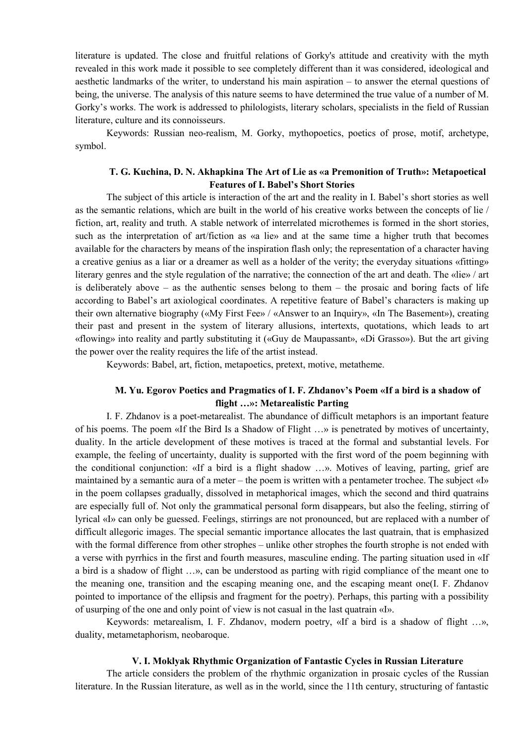literature is updated. The close and fruitful relations of Gorky's attitude and creativity with the myth revealed in this work made it possible to see completely different than it was considered, ideological and aesthetic landmarks of the writer, to understand his main aspiration – to answer the eternal questions of being, the universe. The analysis of this nature seems to have determined the true value of a number of M. Gorky's works. The work is addressed to philologists, literary scholars, specialists in the field of Russian literature, culture and its connoisseurs.

Keywords: Russian neo-realism, M. Gorky, mythopoetics, poetics of prose, motif, archetype, symbol.

# **T. G. Kuchina, D. N. Akhapkina The Art of Lie as «a Premonition of Truth»: Metapoetical Features of I. Babel's Short Stories**

The subject of this article is interaction of the art and the reality in I. Babel's short stories as well as the semantic relations, which are built in the world of his creative works between the concepts of lie / fiction, art, reality and truth. A stable network of interrelated microthemes is formed in the short stories, such as the interpretation of art/fiction as «a lie» and at the same time a higher truth that becomes available for the characters by means of the inspiration flash only; the representation of a character having a creative genius as a liar or a dreamer as well as a holder of the verity; the everyday situations «fitting» literary genres and the style regulation of the narrative; the connection of the art and death. The «lie» / art is deliberately above – as the authentic senses belong to them – the prosaic and boring facts of life according to Babel's art axiological coordinates. A repetitive feature of Babel's characters is making up their own alternative biography («My First Fee» / «Answer to an Inquiry», «In The Basement»), creating their past and present in the system of literary allusions, intertexts, quotations, which leads to art «flowing» into reality and partly substituting it («Guy de Maupassant», «Di Grasso»). But the art giving the power over the reality requires the life of the artist instead.

Keywords: Babel, art, fiction, metapoetics, pretext, motive, metatheme.

### **M. Yu. Egorov Poetics and Pragmatics of I. F. Zhdanov's Poem «If a bird is a shadow of flight …»: Metarealistic Parting**

I. F. Zhdanov is a poet-metarealist. The abundance of difficult metaphors is an important feature of his poems. The poem «If the Bird Is a Shadow of Flight …» is penetrated by motives of uncertainty, duality. In the article development of these motives is traced at the formal and substantial levels. For example, the feeling of uncertainty, duality is supported with the first word of the poem beginning with the conditional conjunction: «If a bird is a flight shadow …». Motives of leaving, parting, grief are maintained by a semantic aura of a meter – the poem is written with a pentameter trochee. The subject «I» in the poem collapses gradually, dissolved in metaphorical images, which the second and third quatrains are especially full of. Not only the grammatical personal form disappears, but also the feeling, stirring of lyrical «I» can only be guessed. Feelings, stirrings are not pronounced, but are replaced with a number of difficult allegoric images. The special semantic importance allocates the last quatrain, that is emphasized with the formal difference from other strophes – unlike other strophes the fourth strophe is not ended with a verse with pyrrhics in the first and fourth measures, masculine ending. The parting situation used in «If a bird is a shadow of flight …», can be understood as parting with rigid compliance of the meant one to the meaning one, transition and the escaping meaning one, and the escaping meant one(I. F. Zhdanov pointed to importance of the ellipsis and fragment for the poetry). Perhaps, this parting with a possibility of usurping of the one and only point of view is not casual in the last quatrain «I».

Keywords: metarealism, I. F. Zhdanov, modern poetry, «If a bird is a shadow of flight …», duality, metametaphorism, neobaroque.

#### **V. I. Moklyak Rhythmic Organization of Fantastic Cycles in Russian Literature**

The article considers the problem of the rhythmic organization in prosaic cycles of the Russian literature. In the Russian literature, as well as in the world, since the 11th century, structuring of fantastic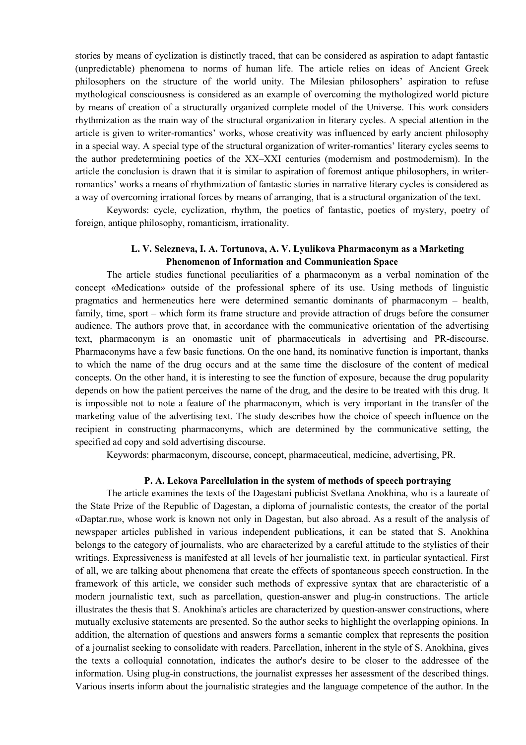stories by means of cyclization is distinctly traced, that can be considered as aspiration to adapt fantastic (unpredictable) phenomena to norms of human life. The article relies on ideas of Ancient Greek philosophers on the structure of the world unity. The Milesian philosophers' aspiration to refuse mythological consciousness is considered as an example of overcoming the mythologized world picture by means of creation of a structurally organized complete model of the Universe. This work considers rhythmization as the main way of the structural organization in literary cycles. A special attention in the article is given to writer-romantics' works, whose creativity was influenced by early ancient philosophy in a special way. A special type of the structural organization of writer-romantics' literary cycles seems to the author predetermining poetics of the XX–XXI centuries (modernism and postmodernism). In the article the conclusion is drawn that it is similar to aspiration of foremost antique philosophers, in writerromantics' works a means of rhythmization of fantastic stories in narrative literary cycles is considered as a way of overcoming irrational forces by means of arranging, that is a structural organization of the text.

Keywords: cycle, cyclization, rhythm, the poetics of fantastic, poetics of mystery, poetry of foreign, antique philosophy, romanticism, irrationality.

### **L. V. Selezneva, I. A. Tortunova, A. V. Lyulikova Pharmaconym as a Marketing Phenomenon of Information and Communication Space**

The article studies functional peculiarities of a pharmaconym as a verbal nomination of the concept «Medication» outside of the professional sphere of its use. Using methods of linguistic pragmatics and hermeneutics here were determined semantic dominants of pharmaconym – health, family, time, sport – which form its frame structure and provide attraction of drugs before the consumer audience. The authors prove that, in accordance with the communicative orientation of the advertising text, pharmaconym is an onomastic unit of pharmaceuticals in advertising and PR-discourse. Pharmaconyms have a few basic functions. On the one hand, its nominative function is important, thanks to which the name of the drug occurs and at the same time the disclosure of the content of medical concepts. On the other hand, it is interesting to see the function of exposure, because the drug popularity depends on how the patient perceives the name of the drug, and the desire to be treated with this drug. It is impossible not to note a feature of the pharmaconym, which is very important in the transfer of the marketing value of the advertising text. The study describes how the choice of speech influence on the recipient in constructing pharmaconyms, which are determined by the communicative setting, the specified ad copy and sold advertising discourse.

Keywords: pharmaconym, discourse, concept, pharmaceutical, medicine, advertising, PR.

### **P. A. Lekova Parcellulation in the system of methods of speech portraying**

The article examines the texts of the Dagestani publicist Svetlana Anokhina, who is a laureate of the State Prize of the Republic of Dagestan, a diploma of journalistic contests, the creator of the portal «Daptar.ru», whose work is known not only in Dagestan, but also abroad. As a result of the analysis of newspaper articles published in various independent publications, it can be stated that S. Anokhina belongs to the category of journalists, who are characterized by a careful attitude to the stylistics of their writings. Expressiveness is manifested at all levels of her journalistic text, in particular syntactical. First of all, we are talking about phenomena that create the effects of spontaneous speech construction. In the framework of this article, we consider such methods of expressive syntax that are characteristic of a modern journalistic text, such as parcellation, question-answer and plug-in constructions. The article illustrates the thesis that S. Anokhina's articles are characterized by question-answer constructions, where mutually exclusive statements are presented. So the author seeks to highlight the overlapping opinions. In addition, the alternation of questions and answers forms a semantic complex that represents the position of a journalist seeking to consolidate with readers. Parcellation, inherent in the style of S. Anokhina, gives the texts a colloquial connotation, indicates the author's desire to be closer to the addressee of the information. Using plug-in constructions, the journalist expresses her assessment of the described things. Various inserts inform about the journalistic strategies and the language competence of the author. In the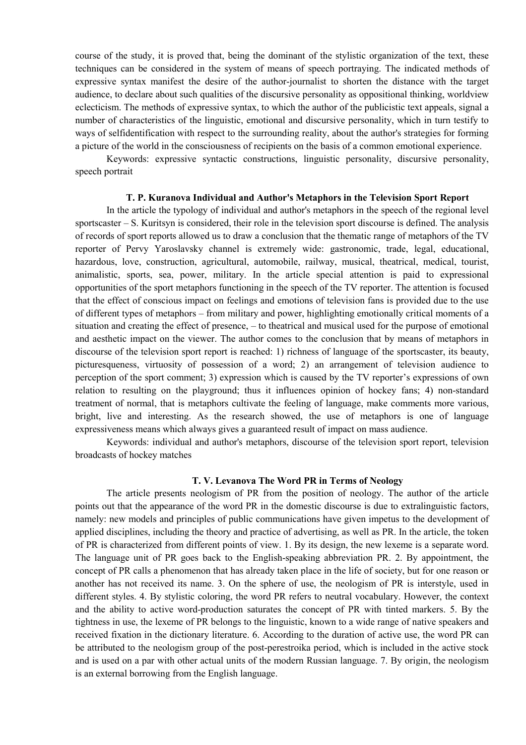course of the study, it is proved that, being the dominant of the stylistic organization of the text, these techniques can be considered in the system of means of speech portraying. The indicated methods of expressive syntax manifest the desire of the author-journalist to shorten the distance with the target audience, to declare about such qualities of the discursive personality as oppositional thinking, worldview eclecticism. The methods of expressive syntax, to which the author of the publicistic text appeals, signal a number of characteristics of the linguistic, emotional and discursive personality, which in turn testify to ways of selfidentification with respect to the surrounding reality, about the author's strategies for forming a picture of the world in the consciousness of recipients on the basis of a common emotional experience.

Keywords: expressive syntactic constructions, linguistic personality, discursive personality, speech portrait

### **T. P. Kuranova Individual and Author's Metaphors in the Television Sport Report**

In the article the typology of individual and author's metaphors in the speech of the regional level sportscaster – S. Kuritsyn is considered, their role in the television sport discourse is defined. The analysis of records of sport reports allowed us to draw a conclusion that the thematic range of metaphors of the TV reporter of Pervy Yaroslavsky channel is extremely wide: gastronomic, trade, legal, educational, hazardous, love, construction, agricultural, automobile, railway, musical, theatrical, medical, tourist, animalistic, sports, sea, power, military. In the article special attention is paid to expressional opportunities of the sport metaphors functioning in the speech of the TV reporter. The attention is focused that the effect of conscious impact on feelings and emotions of television fans is provided due to the use of different types of metaphors – from military and power, highlighting emotionally critical moments of a situation and creating the effect of presence, – to theatrical and musical used for the purpose of emotional and aesthetic impact on the viewer. The author comes to the conclusion that by means of metaphors in discourse of the television sport report is reached: 1) richness of language of the sportscaster, its beauty, picturesqueness, virtuosity of possession of a word; 2) an arrangement of television audience to perception of the sport comment; 3) expression which is caused by the TV reporter's expressions of own relation to resulting on the playground; thus it influences opinion of hockey fans; 4) non-standard treatment of normal, that is metaphors cultivate the feeling of language, make comments more various, bright, live and interesting. As the research showed, the use of metaphors is one of language expressiveness means which always gives a guaranteed result of impact on mass audience.

Keywords: individual and author's metaphors, discourse of the television sport report, television broadcasts of hockey matches

### **T. V. Levanova The Word PR in Terms of Neology**

The article presents neologism of PR from the position of neology. The author of the article points out that the appearance of the word PR in the domestic discourse is due to extralinguistic factors, namely: new models and principles of public communications have given impetus to the development of applied disciplines, including the theory and practice of advertising, as well as PR. In the article, the token of PR is characterized from different points of view. 1. By its design, the new lexeme is a separate word. The language unit of PR goes back to the English-speaking abbreviation PR. 2. By appointment, the concept of PR calls a phenomenon that has already taken place in the life of society, but for one reason or another has not received its name. 3. On the sphere of use, the neologism of PR is interstyle, used in different styles. 4. By stylistic coloring, the word PR refers to neutral vocabulary. However, the context and the ability to active word-production saturates the concept of PR with tinted markers. 5. By the tightness in use, the lexeme of PR belongs to the linguistic, known to a wide range of native speakers and received fixation in the dictionary literature. 6. According to the duration of active use, the word PR can be attributed to the neologism group of the post-perestroika period, which is included in the active stock and is used on a par with other actual units of the modern Russian language. 7. By origin, the neologism is an external borrowing from the English language.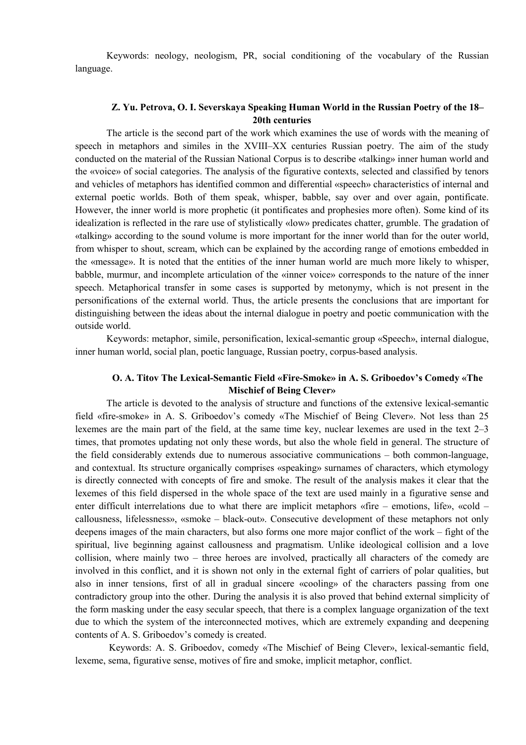Keywords: neology, neologism, PR, social conditioning of the vocabulary of the Russian language.

### **Z. Yu. Petrova, O. I. Severskaya Speaking Human World in the Russian Poetry of the 18– 20th centuries**

The article is the second part of the work which examines the use of words with the meaning of speech in metaphors and similes in the XVIII–XX centuries Russian poetry. The aim of the study conducted on the material of the Russian National Corpus is to describe «talking» inner human world and the «voice» of social categories. The analysis of the figurative contexts, selected and classified by tenors and vehicles of metaphors has identified common and differential «speech» characteristics of internal and external poetic worlds. Both of them speak, whisper, babble, say over and over again, pontificate. However, the inner world is more prophetic (it pontificates and prophesies more often). Some kind of its idealization is reflected in the rare use of stylistically «low» predicates chatter, grumble. The gradation of «talking» according to the sound volume is more important for the inner world than for the outer world, from whisper to shout, scream, which can be explained by the according range of emotions embedded in the «message». It is noted that the entities of the inner human world are much more likely to whisper, babble, murmur, and incomplete articulation of the «inner voice» corresponds to the nature of the inner speech. Metaphorical transfer in some cases is supported by metonymy, which is not present in the personifications of the external world. Thus, the article presents the conclusions that are important for distinguishing between the ideas about the internal dialogue in poetry and poetic communication with the outside world.

Keywords: metaphor, simile, personification, lexical-semantic group «Speech», internal dialogue, inner human world, social plan, poetic language, Russian poetry, corpus-based analysis.

# **O. A. Titov The Lexical-Semantic Field «Fire-Smoke» in A. S. Griboedov's Comedy «The Mischief of Being Clever»**

The article is devoted to the analysis of structure and functions of the extensive lexical-semantic field «fire-smoke» in A. S. Griboedov's comedy «The Mischief of Being Clever». Not less than 25 lexemes are the main part of the field, at the same time key, nuclear lexemes are used in the text 2–3 times, that promotes updating not only these words, but also the whole field in general. The structure of the field considerably extends due to numerous associative communications – both common-language, and contextual. Its structure organically comprises «speaking» surnames of characters, which etymology is directly connected with concepts of fire and smoke. The result of the analysis makes it clear that the lexemes of this field dispersed in the whole space of the text are used mainly in a figurative sense and enter difficult interrelations due to what there are implicit metaphors «fire – emotions, life», «cold – callousness, lifelessness», «smoke – black-out». Consecutive development of these metaphors not only deepens images of the main characters, but also forms one more major conflict of the work – fight of the spiritual, live beginning against callousness and pragmatism. Unlike ideological collision and a love collision, where mainly two – three heroes are involved, practically all characters of the comedy are involved in this conflict, and it is shown not only in the external fight of carriers of polar qualities, but also in inner tensions, first of all in gradual sincere «cooling» of the characters passing from one contradictory group into the other. During the analysis it is also proved that behind external simplicity of the form masking under the easy secular speech, that there is a complex language organization of the text due to which the system of the interconnected motives, which are extremely expanding and deepening contents of A. S. Griboedov's comedy is created.

 Keywords: A. S. Griboedov, comedy «The Mischief of Being Clever», lexical-semantic field, lexeme, sema, figurative sense, motives of fire and smoke, implicit metaphor, conflict.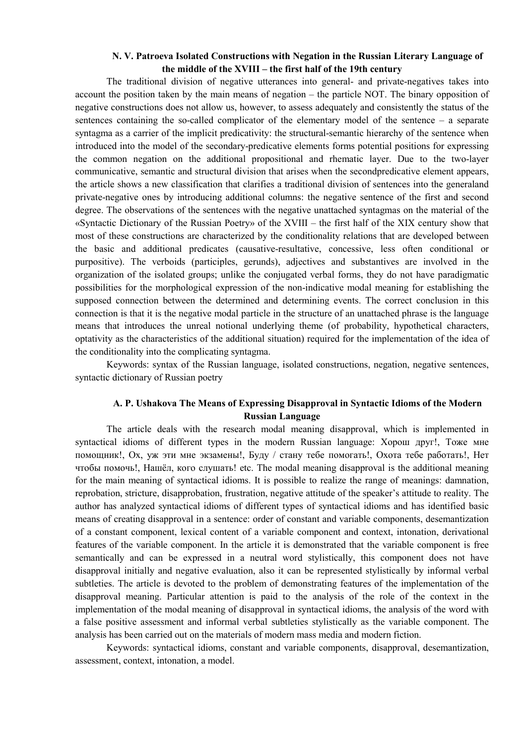# **N. V. Patroeva Isolated Constructions with Negation in the Russian Literary Language of the middle of the XVIII – the first half of the 19th century**

The traditional division of negative utterances into general- and private-negatives takes into account the position taken by the main means of negation – the particle NOT. The binary opposition of negative constructions does not allow us, however, to assess adequately and consistently the status of the sentences containing the so-called complicator of the elementary model of the sentence – a separate syntagma as a carrier of the implicit predicativity: the structural-semantic hierarchy of the sentence when introduced into the model of the secondary-predicative elements forms potential positions for expressing the common negation on the additional propositional and rhematic layer. Due to the two-layer communicative, semantic and structural division that arises when the secondpredicative element appears, the article shows a new classification that clarifies a traditional division of sentences into the generaland private-negative ones by introducing additional columns: the negative sentence of the first and second degree. The observations of the sentences with the negative unattached syntagmas on the material of the «Syntactic Dictionary of the Russian Poetry» of the XVIII – the first half of the XIX century show that most of these constructions are characterized by the conditionality relations that are developed between the basic and additional predicates (causative-resultative, concessive, less often conditional or purpositive). The verboids (participles, gerunds), adjectives and substantives are involved in the organization of the isolated groups; unlike the conjugated verbal forms, they do not have paradigmatic possibilities for the morphological expression of the non-indicative modal meaning for establishing the supposed connection between the determined and determining events. The correct conclusion in this connection is that it is the negative modal particle in the structure of an unattached phrase is the language means that introduces the unreal notional underlying theme (of probability, hypothetical characters, optativity as the characteristics of the additional situation) required for the implementation of the idea of the conditionality into the complicating syntagma.

Keywords: syntax of the Russian language, isolated constructions, negation, negative sentences, syntactic dictionary of Russian poetry

# **A. P. Ushakova The Means of Expressing Disapproval in Syntactic Idioms of the Modern Russian Language**

The article deals with the research modal meaning disapproval, which is implemented in syntactical idioms of different types in the modern Russian language: Хорош друг!, Тоже мне помощник!, Ох, уж эти мне экзамены!, Буду / стану тебе помогать!, Охота тебе работать!, Нет чтобы помочь!, Нашёл, кого слушать! etc. The modal meaning disapproval is the additional meaning for the main meaning of syntactical idioms. It is possible to realize the range of meanings: damnation, reprobation, stricture, disapprobation, frustration, negative attitude of the speaker's attitude to reality. The author has analyzed syntactical idioms of different types of syntactical idioms and has identified basic means of creating disapproval in а sentence: order of constant and variable components, desemantization of а constant component, lexical content of a variable component and context, intonation, derivational features of the variable component. In the article it is demonstrated that the variable component is free semantically and can be expressed in a neutral word stylistically, this component does not have disapproval initially and negative evaluation, also it can be represented stylistically by informal verbal subtleties. The article is devoted to the problem of demonstrating features of the implementation of the disapproval meaning. Particular attention is paid to the analysis of the role of the context in the implementation of the modal meaning of disapproval in syntactical idioms, the analysis of the word with a false positive assessment and informal verbal subtleties stylistically as the variable component. The analysis has been carried out on the materials of modern mass media and modern fiction.

Keywords: syntactical idioms, constant and variable components, disapproval, desemantization, assessment, context, intonation, a model.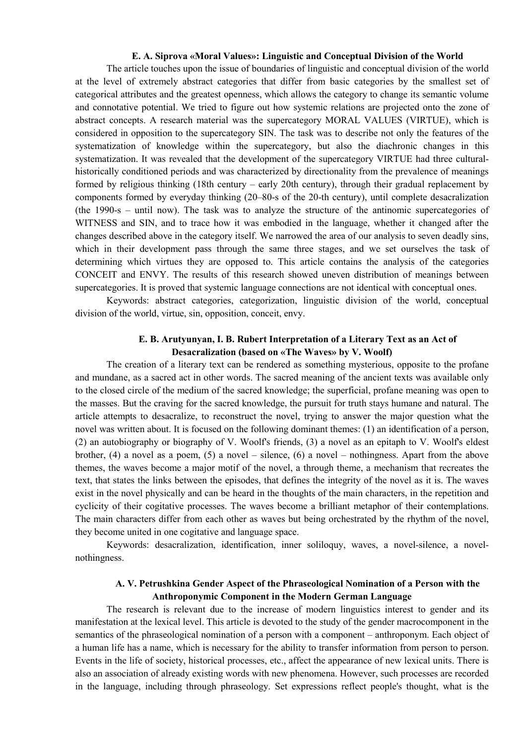### **E. A. Siprova «Moral Values»: Linguistic and Conceptual Division of the World**

The article touches upon the issue of boundaries of linguistic and conceptual division of the world at the level of extremely abstract categories that differ from basic categories by the smallest set of categorical attributes and the greatest openness, which allows the category to change its semantic volume and connotative potential. We tried to figure out how systemic relations are projected onto the zone of abstract concepts. A research material was the supercategory MORAL VALUES (VIRTUE), which is considered in opposition to the supercategory SIN. The task was to describe not only the features of the systematization of knowledge within the supercategory, but also the diachronic changes in this systematization. It was revealed that the development of the supercategory VIRTUE had three culturalhistorically conditioned periods and was characterized by directionality from the prevalence of meanings formed by religious thinking (18th century – early 20th century), through their gradual replacement by components formed by everyday thinking (20–80-s of the 20-th century), until complete desacralization (the 1990-s – until now). The task was to analyze the structure of the antinomic supercategories of WITNESS and SIN, and to trace how it was embodied in the language, whether it changed after the changes described above in the category itself. We narrowed the area of our analysis to seven deadly sins, which in their development pass through the same three stages, and we set ourselves the task of determining which virtues they are opposed to. This article contains the analysis of the categories CONCEIT and ENVY. The results of this research showed uneven distribution of meanings between supercategories. It is proved that systemic language connections are not identical with conceptual ones.

Keywords: abstract categories, categorization, linguistic division of the world, conceptual division of the world, virtue, sin, opposition, conceit, envy.

### **E. B. Arutyunyan, I. B. Rubert Interpretation of a Literary Text as an Act of Desacralization (based on «The Waves» by V. Woolf)**

The creation of a literary text can be rendered as something mysterious, opposite to the profane and mundane, as a sacred act in other words. The sacred meaning of the ancient texts was available only to the closed circle of the medium of the sacred knowledge; the superficial, profane meaning was open to the masses. But the craving for the sacred knowledge, the pursuit for truth stays humane and natural. The article attempts to desacralize, to reconstruct the novel, trying to answer the major question what the novel was written about. It is focused on the following dominant themes: (1) an identification of a person, (2) an autobiography or biography of V. Woolf's friends, (3) a novel as an epitaph to V. Woolf's eldest brother, (4) a novel as a poem, (5) a novel – silence, (6) a novel – nothingness. Apart from the above themes, the waves become a major motif of the novel, a through theme, a mechanism that recreates the text, that states the links between the episodes, that defines the integrity of the novel as it is. The waves exist in the novel physically and can be heard in the thoughts of the main characters, in the repetition and cyclicity of their cogitative processes. The waves become a brilliant metaphor of their contemplations. The main characters differ from each other as waves but being orchestrated by the rhythm of the novel, they become united in one cogitative and language space.

Keywords: desacralization, identification, inner soliloquy, waves, a novel-silence, a novelnothingness.

### **A. V. Petrushkina Gender Aspect of the Phraseological Nomination of a Person with the Anthroponymic Component in the Modern German Language**

The research is relevant due to the increase of modern linguistics interest to gender and its manifestation at the lexical level. This article is devoted to the study of the gender macrocomponent in the semantics of the phraseological nomination of a person with a component – anthroponym. Each object of a human life has a name, which is necessary for the ability to transfer information from person to person. Events in the life of society, historical processes, etc., affect the appearance of new lexical units. There is also an association of already existing words with new phenomena. However, such processes are recorded in the language, including through phraseology. Set expressions reflect people's thought, what is the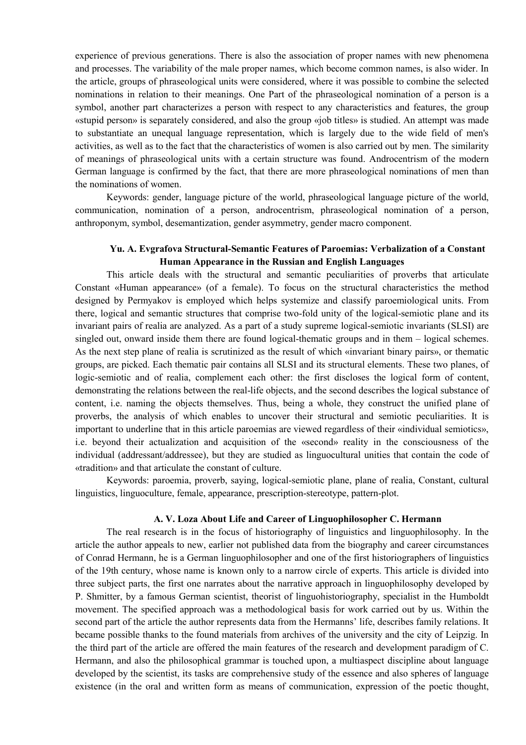experience of previous generations. There is also the association of proper names with new phenomena and processes. The variability of the male proper names, which become common names, is also wider. In the article, groups of phraseological units were considered, where it was possible to combine the selected nominations in relation to their meanings. One Part of the phraseological nomination of a person is a symbol, another part characterizes a person with respect to any characteristics and features, the group «stupid person» is separately considered, and also the group «job titles» is studied. An attempt was made to substantiate an unequal language representation, which is largely due to the wide field of men's activities, as well as to the fact that the characteristics of women is also carried out by men. The similarity of meanings of phraseological units with a certain structure was found. Androcentrism of the modern German language is confirmed by the fact, that there are more phraseological nominations of men than the nominations of women.

Keywords: gender, language picture of the world, phraseological language picture of the world, communication, nomination of a person, androcentrism, phraseological nomination of a person, anthroponym, symbol, desemantization, gender asymmetry, gender macro component.

# **Yu. A. Evgrafova Structural-Semantic Features of Paroemias: Verbalization of a Constant Human Appearance in the Russian and English Languages**

This article deals with the structural and semantic peculiarities of proverbs that articulate Constant «Human appearance» (of a female). To focus on the structural characteristics the method designed by Permyakov is employed which helps systemize and classify paroemiological units. From there, logical and semantic structures that comprise two-fold unity of the logical-semiotic plane and its invariant pairs of realia are analyzed. As a part of a study supreme logical-semiotic invariants (SLSI) are singled out, onward inside them there are found logical-thematic groups and in them – logical schemes. As the next step plane of realia is scrutinized as the result of which «invariant binary pairs», or thematic groups, are picked. Each thematic pair contains all SLSI and its structural elements. These two planes, of logic-semiotic and of realia, complement each other: the first discloses the logical form of content, demonstrating the relations between the real-life objects, and the second describes the logical substance of content, i.e. naming the objects themselves. Thus, being a whole, they construct the unified plane of proverbs, the analysis of which enables to uncover their structural and semiotic peculiarities. It is important to underline that in this article paroemias are viewed regardless of their «individual semiotics», i.e. beyond their actualization and acquisition of the «second» reality in the consciousness of the individual (addressant/addressee), but they are studied as linguocultural unities that contain the code of «tradition» and that articulate the constant of culture.

Keywords: paroemia, proverb, saying, logical-semiotic plane, plane of realia, Constant, cultural linguistics, linguoculture, female, appearance, prescription-stereotype, pattern-plot.

#### **A. V. Loza About Life and Career of Linguophilosopher C. Hermann**

The real research is in the focus of historiography of linguistics and linguophilosophy. In the article the author appeals to new, earlier not published data from the biography and career circumstances of Conrad Hermann, he is a German linguophilosopher and one of the first historiographers of linguistics of the 19th century, whose name is known only to a narrow circle of experts. This article is divided into three subject parts, the first one narrates about the narrative approach in linguophilosophy developed by P. Shmitter, by a famous German scientist, theorist of linguohistoriography, specialist in the Humboldt movement. The specified approach was a methodological basis for work carried out by us. Within the second part of the article the author represents data from the Hermanns' life, describes family relations. It became possible thanks to the found materials from archives of the university and the city of Leipzig. In the third part of the article are offered the main features of the research and development paradigm of C. Hermann, and also the philosophical grammar is touched upon, a multiaspect discipline about language developed by the scientist, its tasks are comprehensive study of the essence and also spheres of language existence (in the oral and written form as means of communication, expression of the poetic thought,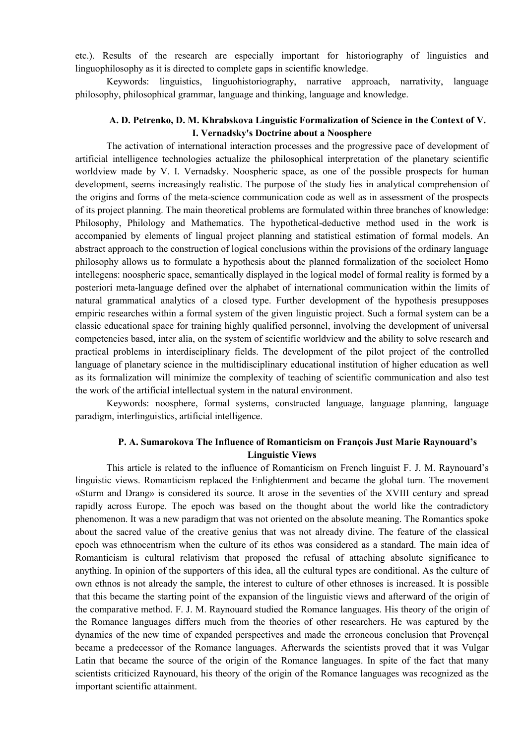etc.). Results of the research are especially important for historiography of linguistics and linguophilosophy as it is directed to complete gaps in scientific knowledge.

Keywords: linguistics, linguohistoriography, narrative approach, narrativity, language philosophy, philosophical grammar, language and thinking, language and knowledge.

# **A. D. Petrenko, D. M. Khrabskova Linguistic Formalization of Science in the Context of V. I. Vernadsky's Doctrine about a Noosphere**

The activation of international interaction processes and the progressive pace of development of artificial intelligence technologies actualize the philosophical interpretation of the planetary scientific worldview made by V. I. Vernadsky. Noospheric space, as one of the possible prospects for human development, seems increasingly realistic. The purpose of the study lies in analytical comprehension of the origins and forms of the meta-science communication code as well as in assessment of the prospects of its project planning. The main theoretical problems are formulated within three branches of knowledge: Philosophy, Philology and Mathematics. The hypothetical-deductive method used in the work is accompanied by elements of lingual project planning and statistical estimation of formal models. An abstract approach to the construction of logical conclusions within the provisions of the ordinary language philosophy allows us to formulate a hypothesis about the planned formalization of the sociolect Homo intellegens: noospheric space, semantically displayed in the logical model of formal reality is formed by a posteriori meta-language defined over the alphabet of international communication within the limits of natural grammatical analytics of a closed type. Further development of the hypothesis presupposes empiric researches within a formal system of the given linguistic project. Such a formal system can be a classic educational space for training highly qualified personnel, involving the development of universal competencies based, inter alia, on the system of scientific worldview and the ability to solve research and practical problems in interdisciplinary fields. The development of the pilot project of the controlled language of planetary science in the multidisciplinary educational institution of higher education as well as its formalization will minimize the complexity of teaching of scientific communication and also test the work of the artificial intellectual system in the natural environment.

Keywords: noosphere, formal systems, constructed language, language planning, language paradigm, interlinguistics, artificial intelligence.

# **P. A. Sumarokova The Influence of Romanticism on François Just Marie Raynouard's Linguistic Views**

This article is related to the influence of Romanticism on French linguist F. J. M. Raynouard's linguistic views. Romanticism replaced the Enlightenment and became the global turn. The movement «Sturm and Drang» is considered its source. It arose in the seventies of the ХVIII century and spread rapidly across Europe. The epoch was based on the thought about the world like the contradictory phenomenon. It was a new paradigm that was not oriented on the absolute meaning. The Romantics spoke about the sacred value of the creative genius that was not already divine. The feature of the classical epoch was ethnocentrism when the culture of its ethos was considered as a standard. The main idea of Romanticism is cultural relativism that proposed the refusal of attaching absolute significance to anything. In opinion of the supporters of this idea, all the cultural types are conditional. As the culture of own ethnos is not already the sample, the interest to culture of other ethnoses is increased. It is possible that this became the starting point of the expansion of the linguistic views and afterward of the origin of the comparative method. F. J. M. Raynouard studied the Romance languages. His theory of the origin of the Romance languages differs much from the theories of other researchers. He was captured by the dynamics of the new time of expanded perspectives and made the erroneous conclusion that Provençal became a predecessor of the Romance languages. Afterwards the scientists proved that it was Vulgar Latin that became the source of the origin of the Romance languages. In spite of the fact that many scientists criticized Raynouard, his theory of the origin of the Romance languages was recognized as the important scientific attainment.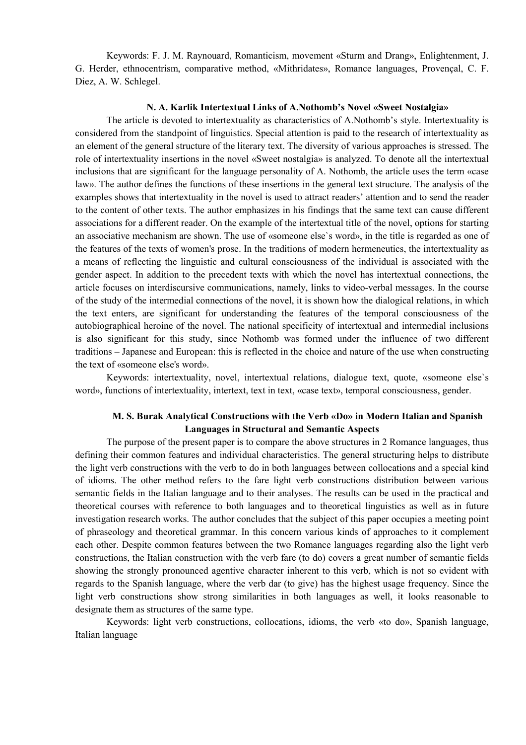Keywords: F. J. M. Raynouard, Romanticism, movement «Sturm and Drang», Enlightenment, J. G. Herder, ethnocentrism, comparative method, «Mithridates», Romance languages, Provençal, C. F. Diez, A. W. Schlegel.

### **N. A. Karlik Intertextual Links of A.Nothomb's Novel «Sweet Nostalgia»**

The article is devoted to intertextuality as characteristics of A.Nothomb's style. Intertextuality is considered from the standpoint of linguistics. Special attention is paid to the research of intertextuality as an element of the general structure of the literary text. The diversity of various approaches is stressed. The role of intertextuality insertions in the novel «Sweet nostalgia» is analyzed. To denote all the intertextual inclusions that are significant for the language personality of A. Nothomb, the article uses the term «case law». The author defines the functions of these insertions in the general text structure. The analysis of the examples shows that intertextuality in the novel is used to attract readers' attention and to send the reader to the content of other texts. The author emphasizes in his findings that the same text can cause different associations for a different reader. On the example of the intertextual title of the novel, options for starting an associative mechanism are shown. The use of «someone else`s word», in the title is regarded as one of the features of the texts of women's prose. In the traditions of modern hermeneutics, the intertextuality as a means of reflecting the linguistic and cultural consciousness of the individual is associated with the gender aspect. In addition to the precedent texts with which the novel has intertextual connections, the article focuses on interdiscursive communications, namely, links to video-verbal messages. In the course of the study of the intermedial connections of the novel, it is shown how the dialogical relations, in which the text enters, are significant for understanding the features of the temporal consciousness of the autobiographical heroine of the novel. The national specificity of intertextual and intermedial inclusions is also significant for this study, since Nothomb was formed under the influence of two different traditions – Japanese and European: this is reflected in the choice and nature of the use when constructing the text of «someone else's word».

Keywords: intertextuality, novel, intertextual relations, dialogue text, quote, «someone else`s word», functions of intertextuality, intertext, text in text, «case text», temporal consciousness, gender.

### **M. S. Burak Analytical Constructions with the Verb «Do» in Modern Italian and Spanish Languages in Structural and Semantic Aspects**

The purpose of the present paper is to compare the above structures in 2 Romance languages, thus defining their common features and individual characteristics. The general structuring helps to distribute the light verb constructions with the verb to do in both languages between collocations and a special kind of idioms. The other method refers to the fare light verb constructions distribution between various semantic fields in the Italian language and to their analyses. The results can be used in the practical and theoretical courses with reference to both languages and to theoretical linguistics as well as in future investigation research works. The author concludes that the subject of this paper occupies a meeting point of phraseology and theoretical grammar. In this concern various kinds of approaches to it complement each other. Despite common features between the two Romance languages regarding also the light verb constructions, the Italian construction with the verb fare (to do) covers a great number of semantic fields showing the strongly pronounced agentive character inherent to this verb, which is not so evident with regards to the Spanish language, where the verb dar (to give) has the highest usage frequency. Since the light verb constructions show strong similarities in both languages as well, it looks reasonable to designate them as structures of the same type.

Keywords: light verb constructions, collocations, idioms, the verb «to do», Spanish language, Italian language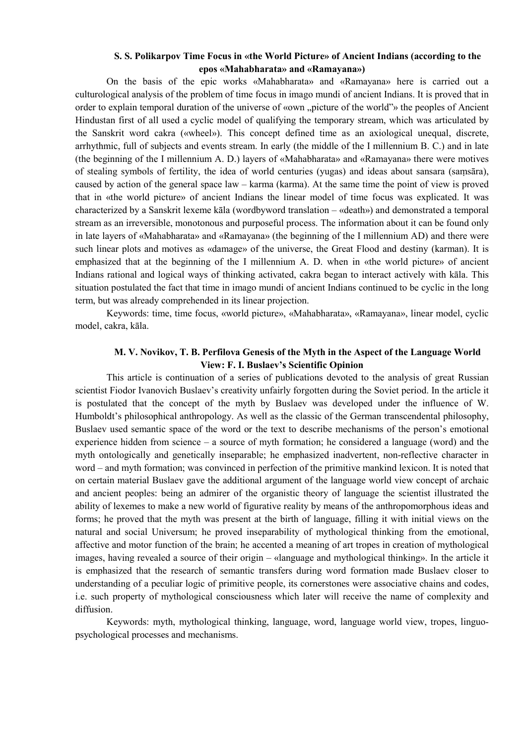# **S. S. Polikarpov Time Focus in «the World Picture» of Ancient Indians (according to the epos «Mahabharata» and «Ramayana»)**

On the basis of the epic works «Mahabharata» and «Ramayana» here is carried out a culturological analysis of the problem of time focus in imago mundi of ancient Indians. It is proved that in order to explain temporal duration of the universe of «own "picture of the world"» the peoples of Ancient Hindustan first of all used a cyclic model of qualifying the temporary stream, which was articulated by the Sanskrit word cakra («wheel»). This concept defined time as an axiological unequal, discrete, arrhythmic, full of subjects and events stream. In early (the middle of the I millennium B. C.) and in late (the beginning of the I millennium A. D.) layers of «Mahabharata» and «Ramayana» there were motives of stealing symbols of fertility, the idea of world centuries (yugas) and ideas about sansara (saṃsāra), caused by action of the general space law – karma (karma). At the same time the point of view is proved that in «the world picture» of ancient Indians the linear model of time focus was explicated. It was characterized by a Sanskrit lexeme kāla (wordbyword translation – «death») and demonstrated a temporal stream as an irreversible, monotonous and purposeful process. The information about it can be found only in late layers of «Mahabharata» and «Ramayana» (the beginning of the I millennium AD) and there were such linear plots and motives as «damage» of the universe, the Great Flood and destiny (karman). It is emphasized that at the beginning of the I millennium A. D. when in «the world picture» of ancient Indians rational and logical ways of thinking activated, cakra began to interact actively with kāla. This situation postulated the fact that time in imago mundi of ancient Indians continued to be cyclic in the long term, but was already comprehended in its linear projection.

Keywords: time, time focus, «world picture», «Mahabharata», «Ramayana», linear model, cyclic model, cakra, kāla.

# **M. V. Novikov, T. B. Perfilova Genesis of the Myth in the Aspect of the Language World View: F. I. Buslaev's Scientific Opinion**

This article is continuation of a series of publications devoted to the analysis of great Russian scientist Fiodor Ivanovich Buslaev's creativity unfairly forgotten during the Soviet period. In the article it is postulated that the concept of the myth by Buslaev was developed under the influence of W. Humboldt's philosophical anthropology. As well as the classic of the German transcendental philosophy, Buslaev used semantic space of the word or the text to describe mechanisms of the person's emotional experience hidden from science – a source of myth formation; he considered a language (word) and the myth ontologically and genetically inseparable; he emphasized inadvertent, non-reflective character in word – and myth formation; was convinced in perfection of the primitive mankind lexicon. It is noted that on certain material Buslaev gave the additional argument of the language world view concept of archaic and ancient peoples: being an admirer of the organistic theory of language the scientist illustrated the ability of lexemes to make a new world of figurative reality by means of the anthropomorphous ideas and forms; he proved that the myth was present at the birth of language, filling it with initial views on the natural and social Universum; he proved inseparability of mythological thinking from the emotional, affective and motor function of the brain; he accented a meaning of art tropes in creation of mythological images, having revealed a source of their origin – «language and mythological thinking». In the article it is emphasized that the research of semantic transfers during word formation made Buslaev closer to understanding of a peculiar logic of primitive people, its cornerstones were associative chains and codes, i.e. such property of mythological consciousness which later will receive the name of complexity and diffusion.

Keywords: myth, mythological thinking, language, word, language world view, tropes, linguopsychological processes and mechanisms.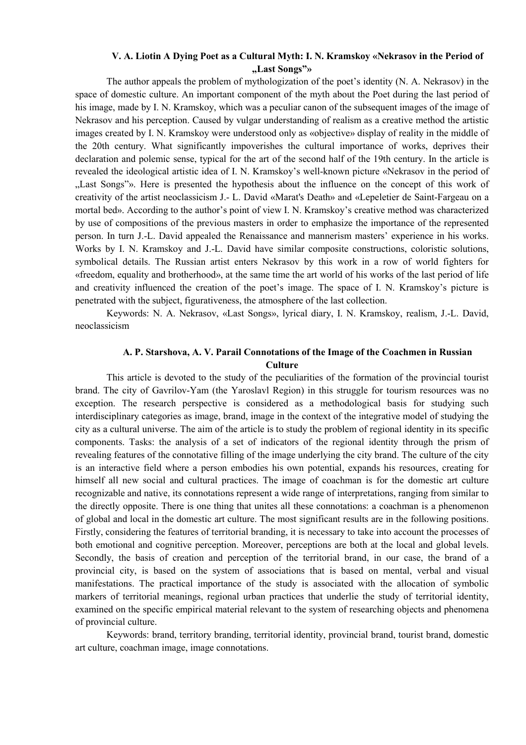# **V. A. Liotin A Dying Poet as a Cultural Myth: I. N. Kramskoy «Nekrasov in the Period of "Last Songs"»**

The author appeals the problem of mythologization of the poet's identity (N. A. Nekrasov) in the space of domestic culture. An important component of the myth about the Poet during the last period of his image, made by I. N. Kramskoy, which was a peculiar canon of the subsequent images of the image of Nekrasov and his perception. Caused by vulgar understanding of realism as a creative method the artistic images created by I. N. Kramskoy were understood only as «objective» display of reality in the middle of the 20th century. What significantly impoverishes the cultural importance of works, deprives their declaration and polemic sense, typical for the art of the second half of the 19th century. In the article is revealed the ideological artistic idea of I. N. Kramskoy's well-known picture «Nekrasov in the period of "Last Songs"». Here is presented the hypothesis about the influence on the concept of this work of creativity of the artist neoclassicism J.- L. David «Marat's Death» and «Lepeletier de Saint-Fargeau on a mortal bed». According to the author's point of view I. N. Kramskoy's creative method was characterized by use of compositions of the previous masters in order to emphasize the importance of the represented person. In turn J.-L. David appealed the Renaissance and mannerism masters' experience in his works. Works by I. N. Kramskoy and J.-L. David have similar composite constructions, coloristic solutions, symbolical details. The Russian artist enters Nekrasov by this work in a row of world fighters for «freedom, equality and brotherhood», at the same time the art world of his works of the last period of life and creativity influenced the creation of the poet's image. The space of I. N. Kramskoy's picture is penetrated with the subject, figurativeness, the atmosphere of the last collection.

Keywords: N. A. Nekrasov, «Last Songs», lyrical diary, I. N. Kramskoy, realism, J.-L. David, neoclassicism

### **A. P. Starshova, A. V. Parail Connotations of the Image of the Coachmen in Russian Culture**

This article is devoted to the study of the peculiarities of the formation of the provincial tourist brand. The city of Gavrilov-Yam (the Yaroslavl Region) in this struggle for tourism resources was no exception. The research perspective is considered as a methodological basis for studying such interdisciplinary categories as image, brand, image in the context of the integrative model of studying the city as a cultural universe. The aim of the article is to study the problem of regional identity in its specific components. Tasks: the analysis of a set of indicators of the regional identity through the prism of revealing features of the connotative filling of the image underlying the city brand. The culture of the city is an interactive field where a person embodies his own potential, expands his resources, creating for himself all new social and cultural practices. The image of coachman is for the domestic art culture recognizable and native, its connotations represent a wide range of interpretations, ranging from similar to the directly opposite. There is one thing that unites all these connotations: a coachman is a phenomenon of global and local in the domestic art culture. The most significant results are in the following positions. Firstly, considering the features of territorial branding, it is necessary to take into account the processes of both emotional and cognitive perception. Moreover, perceptions are both at the local and global levels. Secondly, the basis of creation and perception of the territorial brand, in our case, the brand of a provincial city, is based on the system of associations that is based on mental, verbal and visual manifestations. The practical importance of the study is associated with the allocation of symbolic markers of territorial meanings, regional urban practices that underlie the study of territorial identity, examined on the specific empirical material relevant to the system of researching objects and phenomena of provincial culture.

Keywords: brand, territory branding, territorial identity, provincial brand, tourist brand, domestic art culture, coachman image, image connotations.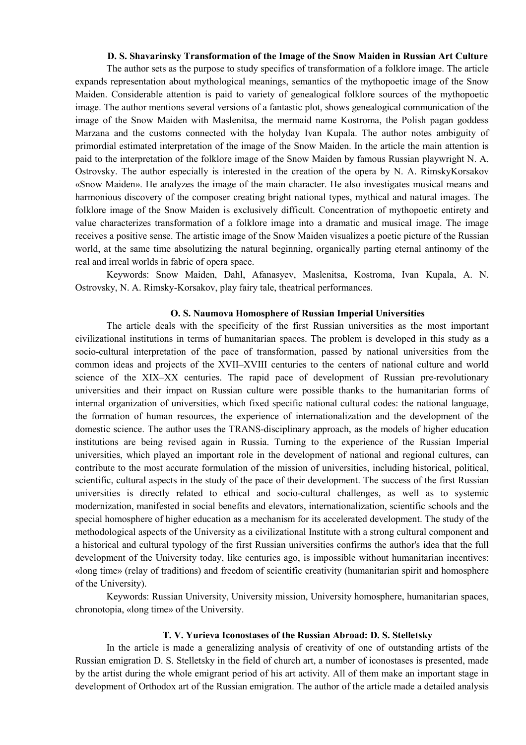### **D. S. Shavarinsky Transformation of the Image of the Snow Maiden in Russian Art Culture**

The author sets as the purpose to study specifics of transformation of a folklore image. The article expands representation about mythological meanings, semantics of the mythopoetic image of the Snow Maiden. Considerable attention is paid to variety of genealogical folklore sources of the mythopoetic image. The author mentions several versions of a fantastic plot, shows genealogical communication of the image of the Snow Maiden with Maslenitsa, the mermaid name Kostroma, the Polish pagan goddess Marzana and the customs connected with the holyday Ivan Kupala. The author notes ambiguity of primordial estimated interpretation of the image of the Snow Maiden. In the article the main attention is paid to the interpretation of the folklore image of the Snow Maiden by famous Russian playwright N. A. Ostrovsky. The author especially is interested in the creation of the opera by N. A. RimskyKorsakov «Snow Maiden». He analyzes the image of the main character. He also investigates musical means and harmonious discovery of the composer creating bright national types, mythical and natural images. The folklore image of the Snow Maiden is exclusively difficult. Сoncentration of mythopoetic entirety and value characterizes transformation of a folklore image into a dramatic and musical image. The image receives a positive sense. The artistic image of the Snow Maiden visualizes a poetic picture of the Russian world, at the same time absolutizing the natural beginning, organically parting eternal antinomy of the real and irreal worlds in fabric of opera space.

Keywords: Snow Maiden, Dahl, Afanasyev, Maslenitsa, Kostroma, Ivan Kupala, А. N. Ostrovsky, N. A. Rimsky-Korsakov, play fairy tale, theatrical performances.

#### **O. S. Naumova Homosphere of Russian Imperial Universities**

The article deals with the specificity of the first Russian universities as the most important civilizational institutions in terms of humanitarian spaces. The problem is developed in this study as a socio-cultural interpretation of the pace of transformation, passed by national universities from the common ideas and projects of the XVII–XVIII centuries to the centers of national culture and world science of the XIX–XX centuries. The rapid pace of development of Russian pre-revolutionary universities and their impact on Russian culture were possible thanks to the humanitarian forms of internal organization of universities, which fixed specific national cultural codes: the national language, the formation of human resources, the experience of internationalization and the development of the domestic science. The author uses the TRANS-disciplinary approach, as the models of higher education institutions are being revised again in Russia. Turning to the experience of the Russian Imperial universities, which played an important role in the development of national and regional cultures, can contribute to the most accurate formulation of the mission of universities, including historical, political, scientific, cultural aspects in the study of the pace of their development. The success of the first Russian universities is directly related to ethical and socio-cultural challenges, as well as to systemic modernization, manifested in social benefits and elevators, internationalization, scientific schools and the special homosphere of higher education as a mechanism for its accelerated development. The study of the methodological aspects of the University as a civilizational Institute with a strong cultural component and a historical and cultural typology of the first Russian universities confirms the author's idea that the full development of the University today, like centuries ago, is impossible without humanitarian incentives: «long time» (relay of traditions) and freedom of scientific creativity (humanitarian spirit and homosphere of the University).

Keywords: Russian University, University mission, University homosphere, humanitarian spaces, chronotopia, «long time» of the University.

#### **T. V. Yurieva Iconostases of the Russian Abroad: D. S. Stelletsky**

In the article is made a generalizing analysis of creativity of one of outstanding artists of the Russian emigration D. S. Stelletsky in the field of church art, a number of iconostases is presented, made by the artist during the whole emigrant period of his art activity. All of them make an important stage in development of Orthodox art of the Russian emigration. The author of the article made a detailed analysis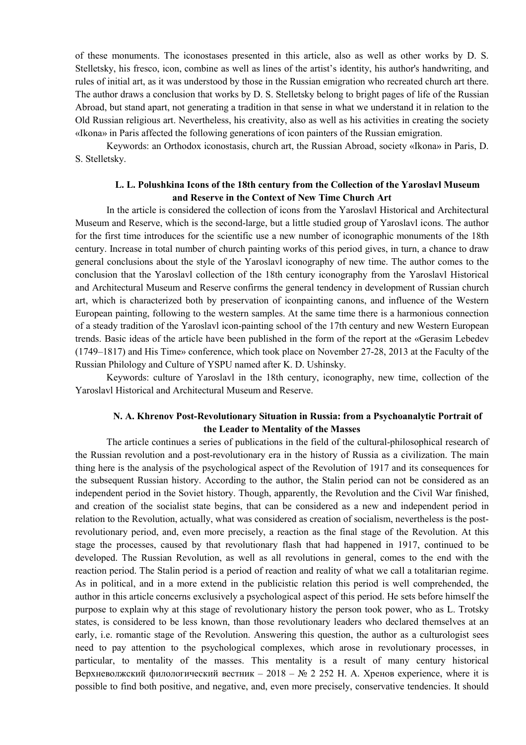of these monuments. The iconostases presented in this article, also as well as other works by D. S. Stelletsky, his fresco, icon, combine as well as lines of the artist's identity, his author's handwriting, and rules of initial art, as it was understood by those in the Russian emigration who recreated church art there. The author draws a conclusion that works by D. S. Stelletsky belong to bright pages of life of the Russian Abroad, but stand apart, not generating a tradition in that sense in what we understand it in relation to the Old Russian religious art. Nevertheless, his creativity, also as well as his activities in creating the society «Ikona» in Paris affected the following generations of icon painters of the Russian emigration.

Keywords: an Orthodox iconostasis, church art, the Russian Abroad, society «Ikona» in Paris, D. S. Stelletsky.

# **L. L. Polushkina Icons of the 18th century from the Collection of the Yaroslavl Museum and Reserve in the Context of New Time Church Art**

In the article is considered the collection of icons from the Yaroslavl Historical and Architectural Museum and Reserve, which is the second-large, but a little studied group of Yaroslavl icons. The author for the first time introduces for the scientific use a new number of iconographic monuments of the 18th century. Increase in total number of church painting works of this period gives, in turn, a chance to draw general conclusions about the style of the Yaroslavl iconography of new time. The author comes to the conclusion that the Yaroslavl collection of the 18th century iconography from the Yaroslavl Historical and Architectural Museum and Reserve confirms the general tendency in development of Russian church art, which is characterized both by preservation of iconpainting canons, and influence of the Western European painting, following to the western samples. At the same time there is a harmonious connection of a steady tradition of the Yaroslavl icon-painting school of the 17th century and new Western European trends. Basic ideas of the article have been published in the form of the report at the «Gerasim Lebedev (1749–1817) and His Time» conference, which took place on November 27-28, 2013 at the Faculty of the Russian Philology and Culture of YSPU named after K. D. Ushinsky.

Keywords: culture of Yaroslavl in the 18th century, iconography, new time, collection of the Yaroslavl Historical and Architectural Museum and Reserve.

# **N. A. Khrenov Post-Revolutionary Situation in Russia: from a Psychoanalytic Portrait of the Leader to Mentality of the Masses**

The article continues a series of publications in the field of the cultural-philosophical research of the Russian revolution and a post-revolutionary era in the history of Russia as a civilization. The main thing here is the analysis of the psychological aspect of the Revolution of 1917 and its consequences for the subsequent Russian history. According to the author, the Stalin period can not be considered as an independent period in the Soviet history. Though, apparently, the Revolution and the Civil War finished, and creation of the socialist state begins, that can be considered as a new and independent period in relation to the Revolution, actually, what was considered as creation of socialism, nevertheless is the postrevolutionary period, and, even more precisely, a reaction as the final stage of the Revolution. At this stage the processes, caused by that revolutionary flash that had happened in 1917, continued to be developed. The Russian Revolution, as well as all revolutions in general, comes to the end with the reaction period. The Stalin period is a period of reaction and reality of what we call a totalitarian regime. As in political, and in a more extend in the publicistic relation this period is well comprehended, the author in this article concerns exclusively a psychological aspect of this period. He sets before himself the purpose to explain why at this stage of revolutionary history the person took power, who as L. Trotsky states, is considered to be less known, than those revolutionary leaders who declared themselves at an early, i.e. romantic stage of the Revolution. Answering this question, the author as a culturologist sees need to pay attention to the psychological complexes, which arose in revolutionary processes, in particular, to mentality of the masses. This mentality is a result of many century historical Верхневолжский филологический вестник – 2018 – № 2 252 Н. А. Хренов experience, where it is possible to find both positive, and negative, and, even more precisely, conservative tendencies. It should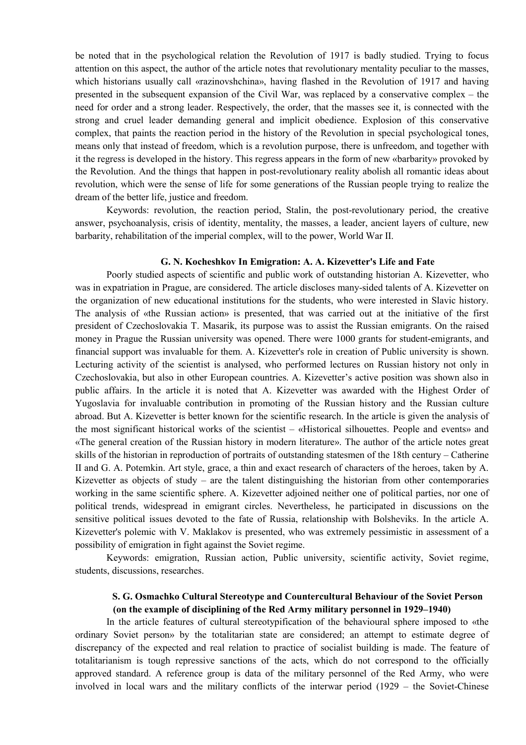be noted that in the psychological relation the Revolution of 1917 is badly studied. Trying to focus attention on this aspect, the author of the article notes that revolutionary mentality peculiar to the masses, which historians usually call «razinovshchina», having flashed in the Revolution of 1917 and having presented in the subsequent expansion of the Civil War, was replaced by a conservative complex – the need for order and a strong leader. Respectively, the order, that the masses see it, is connected with the strong and cruel leader demanding general and implicit obedience. Explosion of this conservative complex, that paints the reaction period in the history of the Revolution in special psychological tones, means only that instead of freedom, which is a revolution purpose, there is unfreedom, and together with it the regress is developed in the history. This regress appears in the form of new «barbarity» provoked by the Revolution. And the things that happen in post-revolutionary reality abolish all romantic ideas about revolution, which were the sense of life for some generations of the Russian people trying to realize the dream of the better life, justice and freedom.

Keywords: revolution, the reaction period, Stalin, the post-revolutionary period, the creative answer, psychoanalysis, crisis of identity, mentality, the masses, a leader, ancient layers of culture, new barbarity, rehabilitation of the imperial complex, will to the power, World War II.

### **G. N. Kocheshkov In Emigration: A. A. Kizevetter's Life and Fate**

Poorly studied aspects of scientific and public work of outstanding historian A. Kizevetter, who was in expatriation in Prague, are considered. The article discloses many-sided talents of A. Kizevetter on the organization of new educational institutions for the students, who were interested in Slavic history. The analysis of «the Russian action» is presented, that was carried out at the initiative of the first president of Czechoslovakia T. Masarik, its purpose was to assist the Russian emigrants. On the raised money in Prague the Russian university was opened. There were 1000 grants for student-emigrants, and financial support was invaluable for them. A. Kizevetter's role in creation of Public university is shown. Lecturing activity of the scientist is analysed, who performed lectures on Russian history not only in Czechoslovakia, but also in other European countries. A. Kizevetter's active position was shown also in public affairs. In the article it is noted that A. Kizevetter was awarded with the Highest Order of Yugoslavia for invaluable contribution in promoting of the Russian history and the Russian culture abroad. But A. Kizevetter is better known for the scientific research. In the article is given the analysis of the most significant historical works of the scientist – «Historical silhouettes. People and events» and «The general creation of the Russian history in modern literature». The author of the article notes great skills of the historian in reproduction of portraits of outstanding statesmen of the 18th century – Catherine II and G. A. Potemkin. Art style, grace, a thin and exact research of characters of the heroes, taken by A. Kizevetter as objects of study – are the talent distinguishing the historian from other contemporaries working in the same scientific sphere. A. Kizevetter adjoined neither one of political parties, nor one of political trends, widespread in emigrant circles. Nevertheless, he participated in discussions on the sensitive political issues devoted to the fate of Russia, relationship with Bolsheviks. In the article A. Kizevetter's polemic with V. Maklakov is presented, who was extremely pessimistic in assessment of a possibility of emigration in fight against the Soviet regime.

Keywords: emigration, Russian action, Public university, scientific activity, Soviet regime, students, discussions, researches.

# **S. G. Osmachko Cultural Stereotype and Countercultural Behaviour of the Soviet Person (on the example of disciplining of the Red Army military personnel in 1929–1940)**

In the article features of cultural stereotypification of the behavioural sphere imposed to «the ordinary Soviet person» by the totalitarian state are considered; an attempt to estimate degree of discrepancy of the expected and real relation to practice of socialist building is made. The feature of totalitarianism is tough repressive sanctions of the acts, which do not correspond to the officially approved standard. A reference group is data of the military personnel of the Red Army, who were involved in local wars and the military conflicts of the interwar period (1929 – the Soviet-Chinese